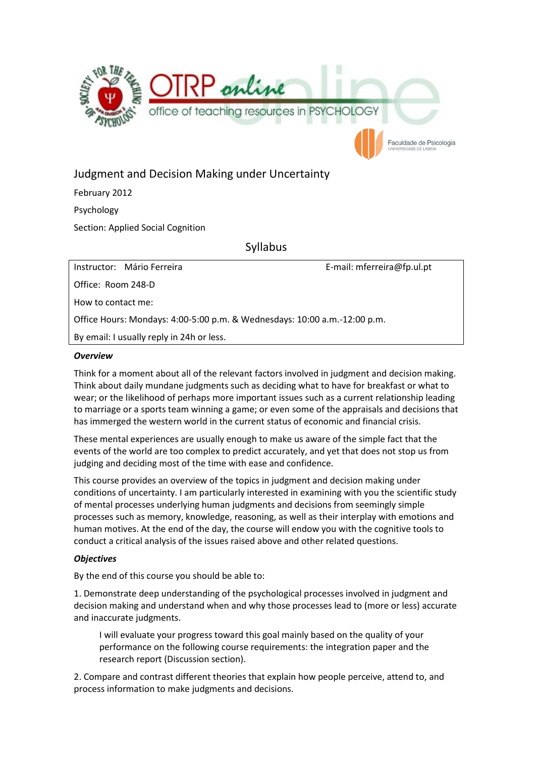

# Judgment and Decision Making under Uncertainty

February 2012 Psychology

Section: Applied Social Cognition

Syllabus

Instructor: Mário Ferreira E-mail: mferreira@fp.ul.pt

Office: Room 248-D

How to contact me:

Office Hours: Mondays: 4:00-5:00 p.m. & Wednesdays: 10:00 a.m.-12:00 p.m.

By email: I usually reply in 24h or less.

# *Overview*

Think for a moment about all of the relevant factors involved in judgment and decision making. Think about daily mundane judgments such as deciding what to have for breakfast or what to wear; or the likelihood of perhaps more important issues such as a current relationship leading to marriage or a sports team winning a game; or even some of the appraisals and decisions that has immerged the western world in the current status of economic and financial crisis.

These mental experiences are usually enough to make us aware of the simple fact that the events of the world are too complex to predict accurately, and yet that does not stop us from judging and deciding most of the time with ease and confidence.

This course provides an overview of the topics in judgment and decision making under conditions of uncertainty. I am particularly interested in examining with you the scientific study of mental processes underlying human judgments and decisions from seemingly simple processes such as memory, knowledge, reasoning, as well as their interplay with emotions and human motives. At the end of the day, the course will endow you with the cognitive tools to conduct a critical analysis of the issues raised above and other related questions.

# *Objectives*

By the end of this course you should be able to:

1. Demonstrate deep understanding of the psychological processes involved in judgment and decision making and understand when and why those processes lead to (more or less) accurate and inaccurate judgments.

I will evaluate your progress toward this goal mainly based on the quality of your performance on the following course requirements: the integration paper and the research report (Discussion section).

2. Compare and contrast different theories that explain how people perceive, attend to, and process information to make judgments and decisions.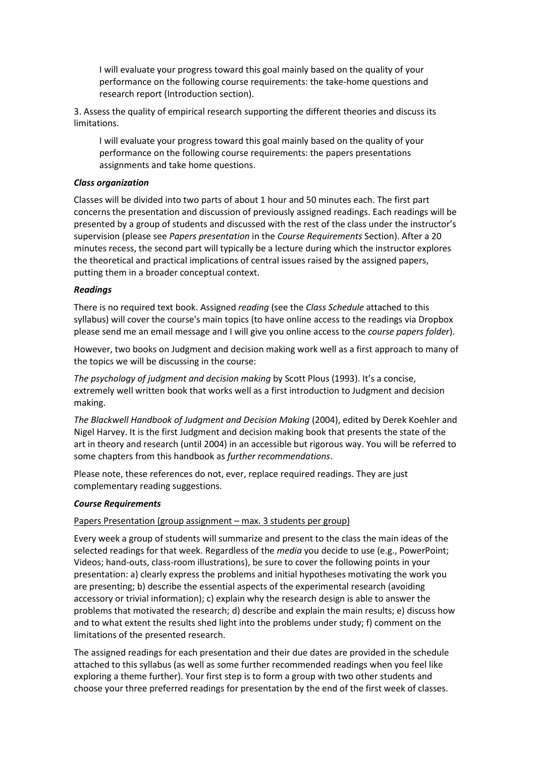I will evaluate your progress toward this goal mainly based on the quality of your performance on the following course requirements: the take-home questions and research report (Introduction section).

3. Assess the quality of empirical research supporting the different theories and discuss its limitations.

I will evaluate your progress toward this goal mainly based on the quality of your performance on the following course requirements: the papers presentations assignments and take home questions.

#### *Class organization*

Classes will be divided into two parts of about 1 hour and 50 minutes each. The first part concerns the presentation and discussion of previously assigned readings. Each readings will be presented by a group of students and discussed with the rest of the class under the instructor's supervision (please see *Papers presentation* in the *Course Requirements* Section). After a 20 minutes recess, the second part will typically be a lecture during which the instructor explores the theoretical and practical implications of central issues raised by the assigned papers, putting them in a broader conceptual context.

#### *Readings*

There is no required text book. Assigned *reading* (see the *Class Schedule* attached to this syllabus) will cover the course's main topics (to have online access to the readings via Dropbox please send me an email message and I will give you online access to the *course papers folder*).

However, two books on Judgment and decision making work well as a first approach to many of the topics we will be discussing in the course:

*The psychology of judgment and decision making* by Scott Plous (1993). It's a concise, extremely well written book that works well as a first introduction to Judgment and decision making.

*The Blackwell Handbook of Judgment and Decision Making* (2004), edited by Derek Koehler and Nigel Harvey. It is the first Judgment and decision making book that presents the state of the art in theory and research (until 2004) in an accessible but rigorous way. You will be referred to some chapters from this handbook as *further recommendations*.

Please note, these references do not, ever, replace required readings. They are just complementary reading suggestions.

#### *Course Requirements*

# Papers Presentation (group assignment – max. 3 students per group)

Every week a group of students will summarize and present to the class the main ideas of the selected readings for that week. Regardless of the *media* you decide to use (e.g., PowerPoint; Videos; hand-outs, class-room illustrations), be sure to cover the following points in your presentation: a) clearly express the problems and initial hypotheses motivating the work you are presenting; b) describe the essential aspects of the experimental research (avoiding accessory or trivial information); c) explain why the research design is able to answer the problems that motivated the research; d) describe and explain the main results; e) discuss how and to what extent the results shed light into the problems under study; f) comment on the limitations of the presented research.

The assigned readings for each presentation and their due dates are provided in the schedule attached to this syllabus (as well as some further recommended readings when you feel like exploring a theme further). Your first step is to form a group with two other students and choose your three preferred readings for presentation by the end of the first week of classes.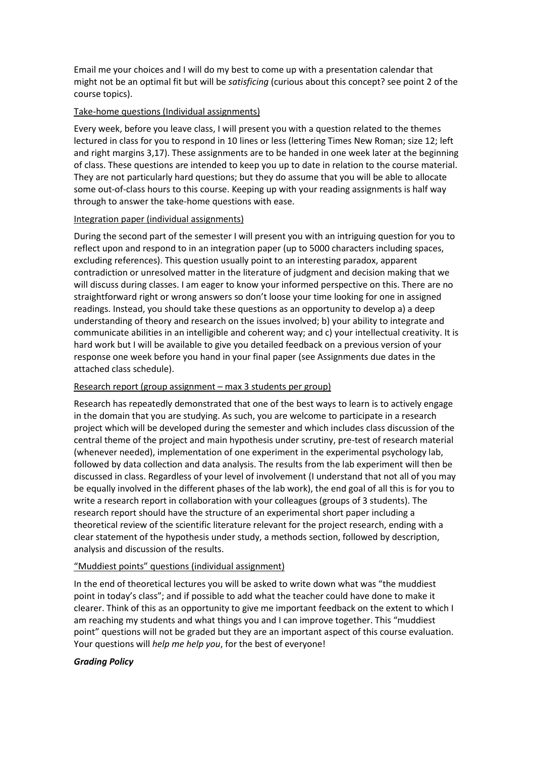Email me your choices and I will do my best to come up with a presentation calendar that might not be an optimal fit but will be *satisficing* (curious about this concept? see point 2 of the course topics).

### Take-home questions (Individual assignments)

Every week, before you leave class, I will present you with a question related to the themes lectured in class for you to respond in 10 lines or less (lettering Times New Roman; size 12; left and right margins 3,17). These assignments are to be handed in one week later at the beginning of class. These questions are intended to keep you up to date in relation to the course material. They are not particularly hard questions; but they do assume that you will be able to allocate some out-of-class hours to this course. Keeping up with your reading assignments is half way through to answer the take-home questions with ease.

# Integration paper (individual assignments)

During the second part of the semester I will present you with an intriguing question for you to reflect upon and respond to in an integration paper (up to 5000 characters including spaces, excluding references). This question usually point to an interesting paradox, apparent contradiction or unresolved matter in the literature of judgment and decision making that we will discuss during classes. I am eager to know your informed perspective on this. There are no straightforward right or wrong answers so don't loose your time looking for one in assigned readings. Instead, you should take these questions as an opportunity to develop a) a deep understanding of theory and research on the issues involved; b) your ability to integrate and communicate abilities in an intelligible and coherent way; and c) your intellectual creativity. It is hard work but I will be available to give you detailed feedback on a previous version of your response one week before you hand in your final paper (see Assignments due dates in the attached class schedule).

# Research report (group assignment – max 3 students per group)

Research has repeatedly demonstrated that one of the best ways to learn is to actively engage in the domain that you are studying. As such, you are welcome to participate in a research project which will be developed during the semester and which includes class discussion of the central theme of the project and main hypothesis under scrutiny, pre-test of research material (whenever needed), implementation of one experiment in the experimental psychology lab, followed by data collection and data analysis. The results from the lab experiment will then be discussed in class. Regardless of your level of involvement (I understand that not all of you may be equally involved in the different phases of the lab work), the end goal of all this is for you to write a research report in collaboration with your colleagues (groups of 3 students). The research report should have the structure of an experimental short paper including a theoretical review of the scientific literature relevant for the project research, ending with a clear statement of the hypothesis under study, a methods section, followed by description, analysis and discussion of the results.

# "Muddiest points" questions (individual assignment)

In the end of theoretical lectures you will be asked to write down what was "the muddiest point in today's class"; and if possible to add what the teacher could have done to make it clearer. Think of this as an opportunity to give me important feedback on the extent to which I am reaching my students and what things you and I can improve together. This "muddiest point" questions will not be graded but they are an important aspect of this course evaluation. Your questions will *help me help you*, for the best of everyone!

#### *Grading Policy*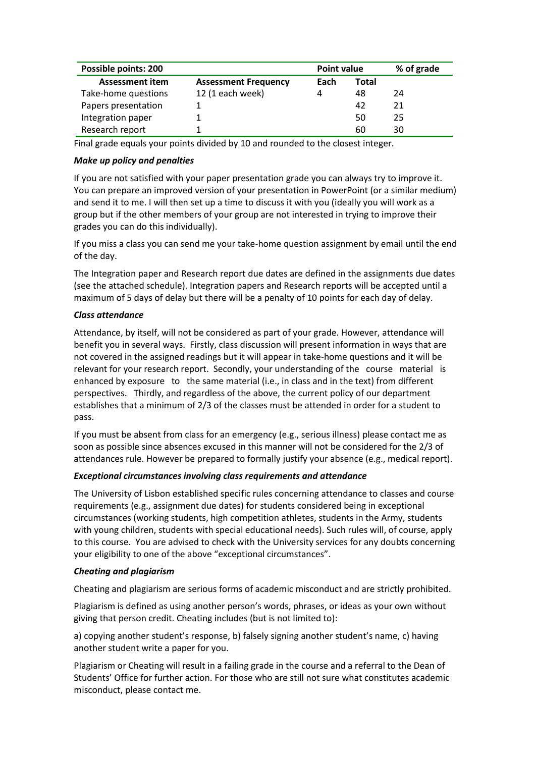| Possible points: 200   | <b>Point value</b>          |      | % of grade |    |
|------------------------|-----------------------------|------|------------|----|
| <b>Assessment item</b> | <b>Assessment Frequency</b> | Each | Total      |    |
| Take-home questions    | 12 (1 each week)            | 4    | 48         | 24 |
| Papers presentation    |                             |      | 42         | 21 |
| Integration paper      |                             |      | 50         | 25 |
| Research report        |                             |      | 60         | 30 |

Final grade equals your points divided by 10 and rounded to the closest integer.

#### *Make up policy and penalties*

If you are not satisfied with your paper presentation grade you can always try to improve it. You can prepare an improved version of your presentation in PowerPoint (or a similar medium) and send it to me. I will then set up a time to discuss it with you (ideally you will work as a group but if the other members of your group are not interested in trying to improve their grades you can do this individually).

If you miss a class you can send me your take-home question assignment by email until the end of the day.

The Integration paper and Research report due dates are defined in the assignments due dates (see the attached schedule). Integration papers and Research reports will be accepted until a maximum of 5 days of delay but there will be a penalty of 10 points for each day of delay.

#### *Class attendance*

Attendance, by itself, will not be considered as part of your grade. However, attendance will benefit you in several ways. Firstly, class discussion will present information in ways that are not covered in the assigned readings but it will appear in take-home questions and it will be relevant for your research report. Secondly, your understanding of the course material is enhanced by exposure to the same material (i.e., in class and in the text) from different perspectives. Thirdly, and regardless of the above, the current policy of our department establishes that a minimum of 2/3 of the classes must be attended in order for a student to pass.

If you must be absent from class for an emergency (e.g., serious illness) please contact me as soon as possible since absences excused in this manner will not be considered for the 2/3 of attendances rule. However be prepared to formally justify your absence (e.g., medical report).

#### *Exceptional circumstances involving class requirements and attendance*

The University of Lisbon established specific rules concerning attendance to classes and course requirements (e.g., assignment due dates) for students considered being in exceptional circumstances (working students, high competition athletes, students in the Army, students with young children, students with special educational needs). Such rules will, of course, apply to this course. You are advised to check with the University services for any doubts concerning your eligibility to one of the above "exceptional circumstances".

#### *Cheating and plagiarism*

Cheating and plagiarism are serious forms of academic misconduct and are strictly prohibited.

Plagiarism is defined as using another person's words, phrases, or ideas as your own without giving that person credit. Cheating includes (but is not limited to):

a) copying another student's response, b) falsely signing another student's name, c) having another student write a paper for you.

Plagiarism or Cheating will result in a failing grade in the course and a referral to the Dean of Students' Office for further action. For those who are still not sure what constitutes academic misconduct, please contact me.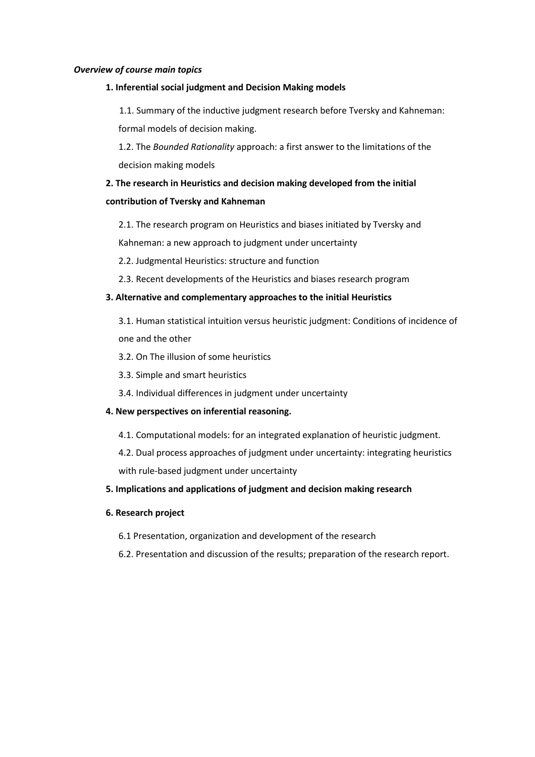#### *Overview of course main topics*

#### **1. Inferential social judgment and Decision Making models**

1.1. Summary of the inductive judgment research before Tversky and Kahneman: formal models of decision making.

1.2. The *Bounded Rationality* approach: a first answer to the limitations of the decision making models

# **2. The research in Heuristics and decision making developed from the initial contribution of Tversky and Kahneman**

2.1. The research program on Heuristics and biases initiated by Tversky and

Kahneman: a new approach to judgment under uncertainty

2.2. Judgmental Heuristics: structure and function

2.3. Recent developments of the Heuristics and biases research program

#### **3. Alternative and complementary approaches to the initial Heuristics**

- 3.1. Human statistical intuition versus heuristic judgment: Conditions of incidence of one and the other
- 3.2. On The illusion of some heuristics
- 3.3. Simple and smart heuristics
- 3.4. Individual differences in judgment under uncertainty
- **4. New perspectives on inferential reasoning.**
	- 4.1. Computational models: for an integrated explanation of heuristic judgment.
	- 4.2. Dual process approaches of judgment under uncertainty: integrating heuristics

with rule-based judgment under uncertainty

# **5. Implications and applications of judgment and decision making research**

#### **6. Research project**

- 6.1 Presentation, organization and development of the research
- 6.2. Presentation and discussion of the results; preparation of the research report.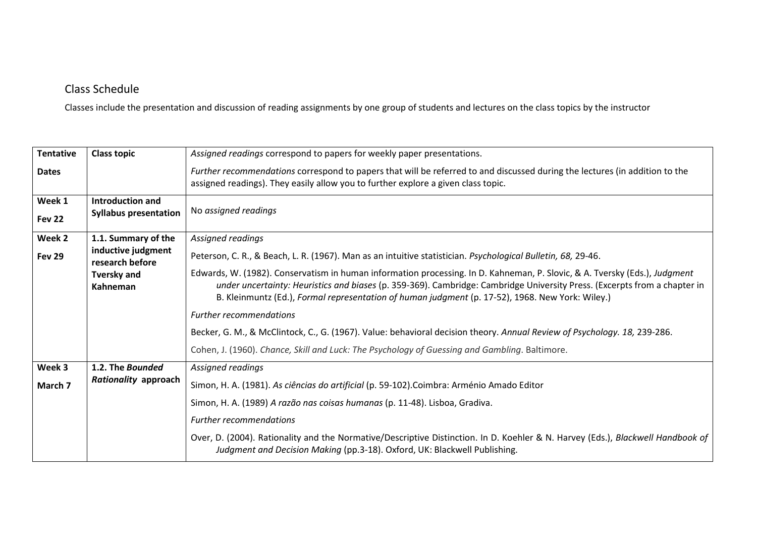# Class Schedule

Classes include the presentation and discussion of reading assignments by one group of students and lectures on the class topics by the instructor

| <b>Tentative</b> | <b>Class topic</b>                               | Assigned readings correspond to papers for weekly paper presentations.                                                                                                                                                        |
|------------------|--------------------------------------------------|-------------------------------------------------------------------------------------------------------------------------------------------------------------------------------------------------------------------------------|
| <b>Dates</b>     |                                                  | Further recommendations correspond to papers that will be referred to and discussed during the lectures (in addition to the<br>assigned readings). They easily allow you to further explore a given class topic.              |
| Week 1<br>Fev 22 | Introduction and<br><b>Syllabus presentation</b> | No assigned readings                                                                                                                                                                                                          |
| Week 2           | 1.1. Summary of the                              | Assigned readings                                                                                                                                                                                                             |
| <b>Fev 29</b>    | inductive judgment<br>research before            | Peterson, C. R., & Beach, L. R. (1967). Man as an intuitive statistician. Psychological Bulletin, 68, 29-46.                                                                                                                  |
|                  | <b>Tversky and</b>                               | Edwards, W. (1982). Conservatism in human information processing. In D. Kahneman, P. Slovic, & A. Tversky (Eds.), Judgment                                                                                                    |
|                  | Kahneman                                         | under uncertainty: Heuristics and biases (p. 359-369). Cambridge: Cambridge University Press. (Excerpts from a chapter in<br>B. Kleinmuntz (Ed.), Formal representation of human judgment (p. 17-52), 1968. New York: Wiley.) |
|                  |                                                  | <b>Further recommendations</b>                                                                                                                                                                                                |
|                  |                                                  | Becker, G. M., & McClintock, C., G. (1967). Value: behavioral decision theory. Annual Review of Psychology. 18, 239-286.                                                                                                      |
|                  |                                                  | Cohen, J. (1960). Chance, Skill and Luck: The Psychology of Guessing and Gambling. Baltimore.                                                                                                                                 |
| Week 3           | 1.2. The Bounded                                 | Assigned readings                                                                                                                                                                                                             |
| March 7          | Rationality approach                             | Simon, H. A. (1981). As ciências do artificial (p. 59-102). Coimbra: Arménio Amado Editor                                                                                                                                     |
|                  |                                                  | Simon, H. A. (1989) A razão nas coisas humanas (p. 11-48). Lisboa, Gradiva.                                                                                                                                                   |
|                  |                                                  | <b>Further recommendations</b>                                                                                                                                                                                                |
|                  |                                                  | Over, D. (2004). Rationality and the Normative/Descriptive Distinction. In D. Koehler & N. Harvey (Eds.), Blackwell Handbook of<br>Judgment and Decision Making (pp.3-18). Oxford, UK: Blackwell Publishing.                  |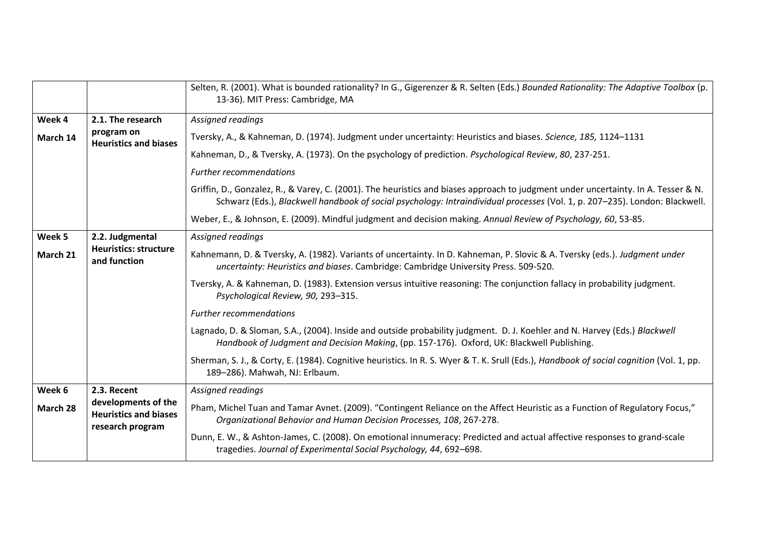|          |                                                                         | Selten, R. (2001). What is bounded rationality? In G., Gigerenzer & R. Selten (Eds.) Bounded Rationality: The Adaptive Toolbox (p.<br>13-36). MIT Press: Cambridge, MA                                                                                            |
|----------|-------------------------------------------------------------------------|-------------------------------------------------------------------------------------------------------------------------------------------------------------------------------------------------------------------------------------------------------------------|
| Week 4   | 2.1. The research                                                       | Assigned readings                                                                                                                                                                                                                                                 |
| March 14 | program on<br><b>Heuristics and biases</b>                              | Tversky, A., & Kahneman, D. (1974). Judgment under uncertainty: Heuristics and biases. Science, 185, 1124-1131                                                                                                                                                    |
|          |                                                                         | Kahneman, D., & Tversky, A. (1973). On the psychology of prediction. Psychological Review, 80, 237-251.                                                                                                                                                           |
|          |                                                                         | <b>Further recommendations</b>                                                                                                                                                                                                                                    |
|          |                                                                         | Griffin, D., Gonzalez, R., & Varey, C. (2001). The heuristics and biases approach to judgment under uncertainty. In A. Tesser & N.<br>Schwarz (Eds.), Blackwell handbook of social psychology: Intraindividual processes (Vol. 1, p. 207-235). London: Blackwell. |
|          |                                                                         | Weber, E., & Johnson, E. (2009). Mindful judgment and decision making. Annual Review of Psychology, 60, 53-85.                                                                                                                                                    |
| Week 5   | 2.2. Judgmental                                                         | Assigned readings                                                                                                                                                                                                                                                 |
| March 21 | <b>Heuristics: structure</b><br>and function                            | Kahnemann, D. & Tversky, A. (1982). Variants of uncertainty. In D. Kahneman, P. Slovic & A. Tversky (eds.). Judgment under<br>uncertainty: Heuristics and biases. Cambridge: Cambridge University Press. 509-520.                                                 |
|          |                                                                         | Tversky, A. & Kahneman, D. (1983). Extension versus intuitive reasoning: The conjunction fallacy in probability judgment.<br>Psychological Review, 90, 293-315.                                                                                                   |
|          |                                                                         | <b>Further recommendations</b>                                                                                                                                                                                                                                    |
|          |                                                                         | Lagnado, D. & Sloman, S.A., (2004). Inside and outside probability judgment. D. J. Koehler and N. Harvey (Eds.) Blackwell<br>Handbook of Judgment and Decision Making, (pp. 157-176). Oxford, UK: Blackwell Publishing.                                           |
|          |                                                                         | Sherman, S. J., & Corty, E. (1984). Cognitive heuristics. In R. S. Wyer & T. K. Srull (Eds.), Handbook of social cognition (Vol. 1, pp.<br>189-286). Mahwah, NJ: Erlbaum.                                                                                         |
| Week 6   | 2.3. Recent                                                             | Assigned readings                                                                                                                                                                                                                                                 |
| March 28 | developments of the<br><b>Heuristics and biases</b><br>research program | Pham, Michel Tuan and Tamar Avnet. (2009). "Contingent Reliance on the Affect Heuristic as a Function of Regulatory Focus,"<br>Organizational Behavior and Human Decision Processes, 108, 267-278.                                                                |
|          |                                                                         | Dunn, E. W., & Ashton-James, C. (2008). On emotional innumeracy: Predicted and actual affective responses to grand-scale<br>tragedies. Journal of Experimental Social Psychology, 44, 692-698.                                                                    |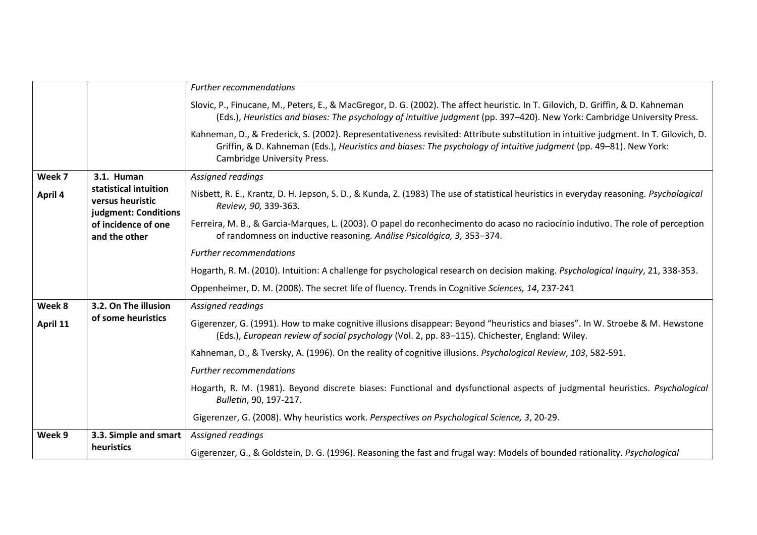|          |                                                                   | <b>Further recommendations</b>                                                                                                                                                                                                                                                           |
|----------|-------------------------------------------------------------------|------------------------------------------------------------------------------------------------------------------------------------------------------------------------------------------------------------------------------------------------------------------------------------------|
|          |                                                                   | Slovic, P., Finucane, M., Peters, E., & MacGregor, D. G. (2002). The affect heuristic. In T. Gilovich, D. Griffin, & D. Kahneman<br>(Eds.), Heuristics and biases: The psychology of intuitive judgment (pp. 397-420). New York: Cambridge University Press.                             |
|          |                                                                   | Kahneman, D., & Frederick, S. (2002). Representativeness revisited: Attribute substitution in intuitive judgment. In T. Gilovich, D.<br>Griffin, & D. Kahneman (Eds.), Heuristics and biases: The psychology of intuitive judgment (pp. 49–81). New York:<br>Cambridge University Press. |
| Week 7   | 3.1. Human                                                        | Assigned readings                                                                                                                                                                                                                                                                        |
| April 4  | statistical intuition<br>versus heuristic<br>judgment: Conditions | Nisbett, R. E., Krantz, D. H. Jepson, S. D., & Kunda, Z. (1983) The use of statistical heuristics in everyday reasoning. Psychological<br>Review, 90, 339-363.                                                                                                                           |
|          | of incidence of one<br>and the other                              | Ferreira, M. B., & Garcia-Marques, L. (2003). O papel do reconhecimento do acaso no raciocínio indutivo. The role of perception<br>of randomness on inductive reasoning. Análise Psicológica, 3, 353-374.                                                                                |
|          |                                                                   | <b>Further recommendations</b>                                                                                                                                                                                                                                                           |
|          |                                                                   | Hogarth, R. M. (2010). Intuition: A challenge for psychological research on decision making. Psychological Inquiry, 21, 338-353.                                                                                                                                                         |
|          |                                                                   | Oppenheimer, D. M. (2008). The secret life of fluency. Trends in Cognitive Sciences, 14, 237-241                                                                                                                                                                                         |
| Week 8   | 3.2. On The illusion                                              | Assigned readings                                                                                                                                                                                                                                                                        |
| April 11 | of some heuristics                                                | Gigerenzer, G. (1991). How to make cognitive illusions disappear: Beyond "heuristics and biases". In W. Stroebe & M. Hewstone<br>(Eds.), European review of social psychology (Vol. 2, pp. 83-115). Chichester, England: Wiley.                                                          |
|          |                                                                   | Kahneman, D., & Tversky, A. (1996). On the reality of cognitive illusions. Psychological Review, 103, 582-591.                                                                                                                                                                           |
|          |                                                                   | <b>Further recommendations</b>                                                                                                                                                                                                                                                           |
|          |                                                                   | Hogarth, R. M. (1981). Beyond discrete biases: Functional and dysfunctional aspects of judgmental heuristics. Psychological<br>Bulletin, 90, 197-217.                                                                                                                                    |
|          |                                                                   | Gigerenzer, G. (2008). Why heuristics work. Perspectives on Psychological Science, 3, 20-29.                                                                                                                                                                                             |
| Week 9   | 3.3. Simple and smart                                             | Assigned readings                                                                                                                                                                                                                                                                        |
|          | heuristics                                                        | Gigerenzer, G., & Goldstein, D. G. (1996). Reasoning the fast and frugal way: Models of bounded rationality. Psychological                                                                                                                                                               |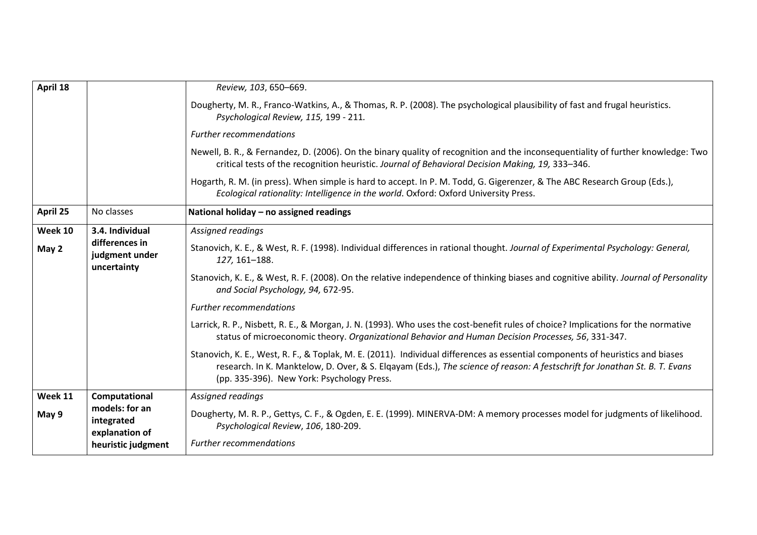| April 18 |                                                 | Review, 103, 650-669.                                                                                                                                                                                                                                                                                      |
|----------|-------------------------------------------------|------------------------------------------------------------------------------------------------------------------------------------------------------------------------------------------------------------------------------------------------------------------------------------------------------------|
|          |                                                 | Dougherty, M. R., Franco-Watkins, A., & Thomas, R. P. (2008). The psychological plausibility of fast and frugal heuristics.<br>Psychological Review, 115, 199 - 211.                                                                                                                                       |
|          |                                                 | <b>Further recommendations</b>                                                                                                                                                                                                                                                                             |
|          |                                                 | Newell, B. R., & Fernandez, D. (2006). On the binary quality of recognition and the inconsequentiality of further knowledge: Two<br>critical tests of the recognition heuristic. Journal of Behavioral Decision Making, 19, 333-346.                                                                       |
|          |                                                 | Hogarth, R. M. (in press). When simple is hard to accept. In P. M. Todd, G. Gigerenzer, & The ABC Research Group (Eds.),<br>Ecological rationality: Intelligence in the world. Oxford: Oxford University Press.                                                                                            |
| April 25 | No classes                                      | National holiday - no assigned readings                                                                                                                                                                                                                                                                    |
| Week 10  | 3.4. Individual                                 | Assigned readings                                                                                                                                                                                                                                                                                          |
| May 2    | differences in<br>judgment under<br>uncertainty | Stanovich, K. E., & West, R. F. (1998). Individual differences in rational thought. Journal of Experimental Psychology: General,<br>127, 161-188.                                                                                                                                                          |
|          |                                                 | Stanovich, K. E., & West, R. F. (2008). On the relative independence of thinking biases and cognitive ability. Journal of Personality<br>and Social Psychology, 94, 672-95.                                                                                                                                |
|          |                                                 | <b>Further recommendations</b>                                                                                                                                                                                                                                                                             |
|          |                                                 | Larrick, R. P., Nisbett, R. E., & Morgan, J. N. (1993). Who uses the cost-benefit rules of choice? Implications for the normative<br>status of microeconomic theory. Organizational Behavior and Human Decision Processes, 56, 331-347.                                                                    |
|          |                                                 | Stanovich, K. E., West, R. F., & Toplak, M. E. (2011). Individual differences as essential components of heuristics and biases<br>research. In K. Manktelow, D. Over, & S. Elgayam (Eds.), The science of reason: A festschrift for Jonathan St. B. T. Evans<br>(pp. 335-396). New York: Psychology Press. |
| Week 11  | Computational                                   | Assigned readings                                                                                                                                                                                                                                                                                          |
| May 9    | models: for an<br>integrated<br>explanation of  | Dougherty, M. R. P., Gettys, C. F., & Ogden, E. E. (1999). MINERVA-DM: A memory processes model for judgments of likelihood.<br>Psychological Review, 106, 180-209.                                                                                                                                        |
|          | heuristic judgment                              | <b>Further recommendations</b>                                                                                                                                                                                                                                                                             |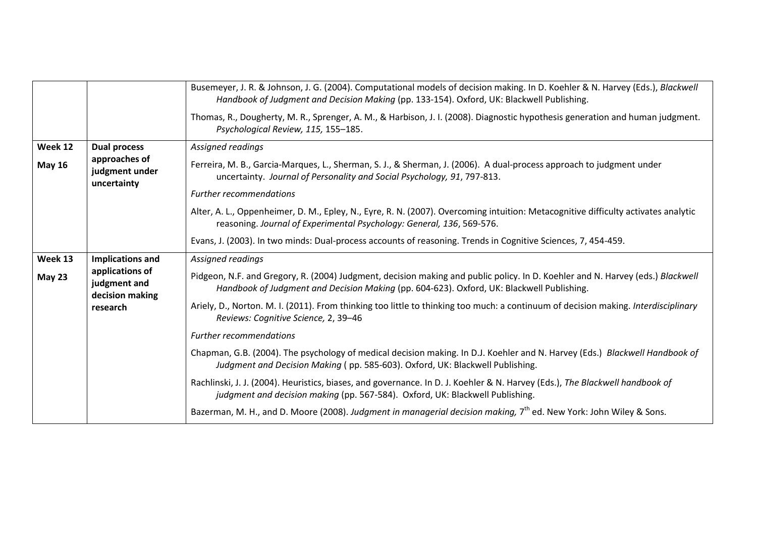|               |                                                    | Busemeyer, J. R. & Johnson, J. G. (2004). Computational models of decision making. In D. Koehler & N. Harvey (Eds.), Blackwell                                                                                              |
|---------------|----------------------------------------------------|-----------------------------------------------------------------------------------------------------------------------------------------------------------------------------------------------------------------------------|
|               |                                                    | Handbook of Judgment and Decision Making (pp. 133-154). Oxford, UK: Blackwell Publishing.                                                                                                                                   |
|               |                                                    | Thomas, R., Dougherty, M. R., Sprenger, A. M., & Harbison, J. I. (2008). Diagnostic hypothesis generation and human judgment.<br>Psychological Review, 115, 155-185.                                                        |
| Week 12       | <b>Dual process</b>                                | Assigned readings                                                                                                                                                                                                           |
| <b>May 16</b> | approaches of<br>judgment under<br>uncertainty     | Ferreira, M. B., Garcia-Marques, L., Sherman, S. J., & Sherman, J. (2006). A dual-process approach to judgment under<br>uncertainty. Journal of Personality and Social Psychology, 91, 797-813.                             |
|               |                                                    | <b>Further recommendations</b>                                                                                                                                                                                              |
|               |                                                    | Alter, A. L., Oppenheimer, D. M., Epley, N., Eyre, R. N. (2007). Overcoming intuition: Metacognitive difficulty activates analytic<br>reasoning. Journal of Experimental Psychology: General, 136, 569-576.                 |
|               |                                                    | Evans, J. (2003). In two minds: Dual-process accounts of reasoning. Trends in Cognitive Sciences, 7, 454-459.                                                                                                               |
| Week 13       | <b>Implications and</b>                            | Assigned readings                                                                                                                                                                                                           |
| <b>May 23</b> | applications of<br>judgment and<br>decision making | Pidgeon, N.F. and Gregory, R. (2004) Judgment, decision making and public policy. In D. Koehler and N. Harvey (eds.) Blackwell<br>Handbook of Judgment and Decision Making (pp. 604-623). Oxford, UK: Blackwell Publishing. |
|               | research                                           | Ariely, D., Norton. M. I. (2011). From thinking too little to thinking too much: a continuum of decision making. Interdisciplinary<br>Reviews: Cognitive Science, 2, 39-46                                                  |
|               |                                                    | <b>Further recommendations</b>                                                                                                                                                                                              |
|               |                                                    | Chapman, G.B. (2004). The psychology of medical decision making. In D.J. Koehler and N. Harvey (Eds.) Blackwell Handbook of<br>Judgment and Decision Making (pp. 585-603). Oxford, UK: Blackwell Publishing.                |
|               |                                                    | Rachlinski, J. J. (2004). Heuristics, biases, and governance. In D. J. Koehler & N. Harvey (Eds.), The Blackwell handbook of<br>judgment and decision making (pp. 567-584). Oxford, UK: Blackwell Publishing.               |
|               |                                                    | Bazerman, M. H., and D. Moore (2008). Judgment in managerial decision making, 7 <sup>th</sup> ed. New York: John Wiley & Sons.                                                                                              |